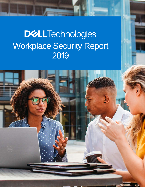# **DELLTechnologies** Workplace Security Report 2019

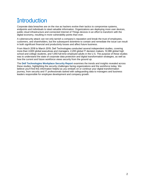# **Introduction**

Corporate data breaches are on the rise as hackers evolve their tactics to compromise systems, endpoints and individuals to steal valuable information. Organizations are deploying more user devices, public cloud infrastructure and connected Internet of Things devices in an effort to transform with the digital economy, resulting in more vulnerability points than ever.

A cybersecurity attack can not only tarnish a company's reputation and break the trust of employees, customers, and shareholders, but the subsequent downtime to contain and remediate the issue can result in both significant financial and productivity losses and affect future business.

From March 2018 to March 2019, Dell Technologies conducted several independent studies, covering more than 4,600 global executives and managers, 2,200 global IT decision makers, 12,086 global high school and college students, and 1,050 full-time employed adults in the U.S. The purpose of these studies was to understand the state of corporate data protection and digital transformation strategies, as well as how the current and future workforce views security from the ground up.

The **Dell Technologies Workplace Security Report** examines the trends and insights revealed across these studies, highlighting the security challenges facing organizations and the workforce today. We believe you'll find this information helpful as you embark on or continue your digital transformation journey, from security and IT professionals tasked with safeguarding data to managers and business leaders responsible for employee development and company growth.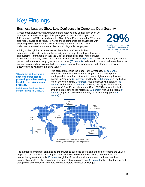# Key Findings

### Business Leaders Show Low Confidence in Corporate Data Security

Global organizations are now managing a greater volume of data than ever. On average, businesses managed 9.70 petabytes of data in 2018 – up from just 1.45 petabytes in 2016, according to the Global Data Protection Index.[\\*](#page-7-0) They are also highly aware of its value. However, these companies are challenged with properly protecting it from an ever-increasing amount of threats – from malicious cyberattacks to natural disasters to disgruntled employees.

Adding to that, global business leaders have little confidence in their companies' abilities to maintain the security and privacy of employee, business and customer information. In fact, the Dell Technologies Digital Transformation

<span id="page-2-1"></span>**29%** of global executives do not trust their organization to protect their data as an employee

Index found that nearly one in three global business leaders (29 percent) do not trust their organization to protect their data as an employee, and even more (33 percent) said they do not trust their organization to protect customer data.[†](#page-7-1) Almost half (49 percent) believe their organization will struggle to prove it's trustworthiness within the next five years. [†](#page-2-0)

#### **"Recognizing the value of data is the first step to protecting and harnessing the data that drives human progress."**

Beth Phalen, President, Data Protection Division, Dell EMC

<span id="page-2-0"></span>This perception circles the globe. In the Americas, 28 percent of executives are not confident in their organization's ability protect employee data from bad actors with distrust highest among business leaders in Argentina (34 percent) and the U.S. (33 percent). [†](#page-2-0) The EMEA region showed a similar 28 percent rate of distrust with Belgium (38 percent) and France (37 percent) reporting the highest levels among executives[.†](#page-2-0) Asia Pacific, Japan and China (APJC) showed the highest level of distrust among the regions at 33 percent with South Korea (51 percent) outpacing every other country other than Singapore (42 percent). [†](#page-2-0)



The increased amount of data and its importance to business operations are also increasing the value of corporate data to hackers, making this lack of confidence even more alarming. In the event of a destructive cyberattack, only 35 percent of global IT decision makers are very confident that their organization could reliably recover all business-critical data and only 16 percent believe that their current data protection solutions will be able to meet all future business challenges[.\\*](#page-2-1)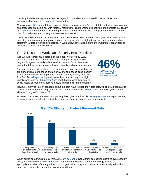This is quickly becoming a focal point as regulation compliance was ranked in the top three data protection challenges by 41 percent of respondents[.\\*](#page-2-1)

Moreover, only 35 percent felt very confident that their organization's current data protection infrastructure and processes are compliant with regional regulations. That sentiment is beginning to translate into reality as 12 percent of respondents whose organization experienced data loss or unplanned downtime in the past 12 months reported paying punitive fines as a result. [\\*](#page-2-1)

This low confidence from business and IT decision makers demonstrates that organizations must make investing in future-ready data protection and privacy solutions a high priority. Yet many data breaches start from targeting individuals specifically. With a new generation entering the workforce, organizations are facing a whole new level of risk.

### Gen Z Unsure of Workplace Security Best Practices

Gen Z could represent 20 percent of the global workforce by 2020, according to the Dell Technologies Gen Z Study.[‡](#page-7-2) As organizations begin to integrate these digital natives into the workforce, they must understand their unique attitudes toward security and react accordingly.

This age group is extremely tech savvy and grew up in the social media era armed with smartphones and an array of cloud-based apps. Luckily, they also understand the importance of data security. Nearly three in four Gen Zers (73 percent) globally rank their data security as a high priority, and nearly all (95 percent) are careful about what they post to social media because they believe it could impact their future careers[.‡](#page-3-0)

<span id="page-3-0"></span>

However, many still aren't confident about the best ways to keep their data safe, which could translate to a significant risk to future employers. In fact, nearly half of Gen Z (46 percent) rate their cybersecurity skills as "not good" to "just ok.["‡](#page-3-0)

However, Gen Z are interested in improving their cybersecurity skills. Twenty-two percent report wanting to make more of an effort to protect their data, but they are unsure how to address it[.](#page-3-0)<sup>‡</sup>



### **Gen Z's Efforts to Protect Personal Data**

When asked about future employers, a mere 11 percent of Gen Z think companies prioritize cybersecurity skills, and nearly two in five (39 percent) report that they want to ensure technology is used appropriately[.](#page-3-0) ‡ This offers a good lesson to organizations: they must prioritize cybersecurity education immediately when this generation joins the workforce.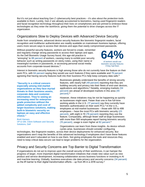But it's not just about teaching Gen Z cybersecurity best practices – it's also about the protection tools available to them. Luckily, Gen Z are already accustomed to biometrics, having used fingerprint readers and facial recognition technology throughout their lives on smartphones and are primed to embrace these technologies as they enter the workforce, giving them the potential to drive changes across the IT organization.

### Organizations Slow to Deploy Devices with Advanced Device Security

Aside from smartphones, advanced device security features like biometric fingerprint readers, facial recognition and multifactor authentication are readily available on mainstream business laptops, offering users more secure ways to access their devices and apps than easily compromised passwords.

Without powerful security features, workers are forced to create, remember and regularly change strong passwords to access their laptops and apps. As the Dell Biometric Usage Survey found, this age-old practice is "annoying" to 88 percent of workers, causing many to exhibit poor security behavior such as writing passwords on sticky notes, using their name or meaningful numbers in passwords, or accessing personal social media accounts from corporate-issued devices.[§](#page-7-3)



Interest in biometric security features is high among those who do not currently have the feature on their work PCs, with 64 percent saying they would use such features if they were available and 79 percent agreeing that having security features built into their business PCs help keep company data safe.<sup>§</sup>

**"Security is a critical concern especially among mid-market organizations as they face myriad threats to their business assets, corporate data and customer information. They're seeing an increasing need for enterprisegrade protection without the added complexity and cost of larger-business solutions, making built-in biometric security on laptops an easy and effective choice."**

Brett Hansen, VP & GM, Client Software and Security Solutions, Dell

<span id="page-4-0"></span>Businesses globally understand the benefits of strong security features, with nearly half (49 percent) reporting that they are building security and privacy into their fleets of end-user devices, applications and algorithms[.§](#page-4-0) Notably, emerging markets (54 percent) are ahead of developed markets in this area (45 percent)[.](#page-4-0) §

However, these initiatives may be not be happening as quickly as businesses might want. Fewer than one in five full-time working adults in the U.S. (17 percent) say they currently have biometric authentication on their work PCs[.§](#page-4-0) In the U.S., employees at mid-market businesses – those with 100 to 499 employees – have the most PCs with biometric security (23 percent), with eight in 10 (78 percent) reporting they use the feature. Comparably, although fewer staff at large businesses with more than 500 employees report having biometric security (15 percent), usage is even higher at 82 percent. [§](#page-4-0)

Organizations can learn from these insights. As device refresh cycles arise, businesses should consider configuring

technologies, like fingerprint readers, across their device deployments for enhanced security. But organizations won't reap the benefits of this advanced technology if employees don't have these features enabled and aren't educated on how to use them. Not giving employees the tools and resources they need to keep critical data secure can lead to larger problems for the organization.

### Privacy and Security Concerns are Top Barrier to Digital Transformation

If organizations do not act to improve upon the overall security of their workforces, it can hamper the progress of larger, more important digital transformation initiatives that create new value such as new product and service development, increasing collaboration across business functions or investing in AI and machine learning. Globally, business executives cite data privacy and security concerns (34 percent) as the #1 barrier to their digital transformation efforts – up from #5 in a 2016 survey.<sup>[§](#page-4-0)</sup>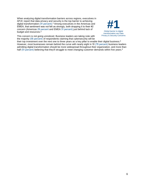When analyzing digital transformation barriers across regions, executives in APJC report that data privacy and security is the top barrier to achieving digital transformation (41 percent). <sup>4</sup> Among executives in the Americas and EMEA, that sentiment was not felt as strongly, both dropping it to their #2 concern (Americas 29 percent and EMEA 31 percent) just behind lack of budget and resources[.§](#page-4-0)



This concern is not going unnoticed. Business leaders are taking note with the majority (58 percent) of respondents claiming that cybersecurity will be

their top investment over the next one to three years as a key pillar to enable their digital business[.§](#page-4-0) However, most businesses remain behind the curve with nearly eight in 10 (78 percent) business leaders admitting digital transformation should be more widespread throughout their organization, and more than half (51 percent) believing that they'll struggle to meet changing customer demands within five years.<sup>§</sup>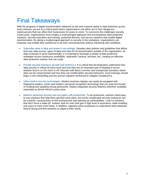# Final Takeaways

With the progress of digital transformation initiatives at risk and a severe uptick in data breaches across every industry, we are at a critical point where organizations can either act or face dangerous repercussions that can affect their businesses for years to come. To overcome the challenges security issues pose, organizations must employ a multi-pronged approach that encompasses data protection solutions, security education and training, protected devices, and secure solutions that enable digital transformation. By taking a multipronged approach to security in the workplace, organizations can empower and enable their workforces to be their most productive without interfering with workflows.

- Subscribe value to data and protect it accordingly. Develop clear policies and guidelines that define end-user data access, types of data and rules for its dissemination outside of the organization. As data continues to grow exponentially, it is essential to leverage a variety of data protection strategies across continuous availability, replication, backup, archives, etc. creating an effective data protection solution that can scale.
- Provide security training to all staff and reinforce it. It is critical that all employees understand why data security is critical at every level and how they are an important part of keeping it secure whether they're on the clock or off. Educate staff about common and unexpected scenarios where data can be compromised and how they can exhibit better security behaviors. Such trainings should begin in the onboarding process and be regularly reinforced to mitigate complacency.
- Utilize built-in security technologies. Modern business laptops can easily be equipped with fingerprint readers, smart card readers and facial recognition technology that can ease the burden of creating and updating strong passwords. Deploy integrated security features wherever available, especially as device refresh cycles arise.
- Balance advanced security and encryption with productivity. To be productive, workers need easyto-use solutions that help them get their work done, but overly complicated security measures can be a barrier, causing them to find workarounds and opening up vulnerabilities. Look for solutions that don't force a trade-off. Instead, look for ones that give a high level of assurance, while enabling end users to work more freely. In addition, regularly pulse employees to understand what obstacles they're facing and find solutions to adapt to their needs.